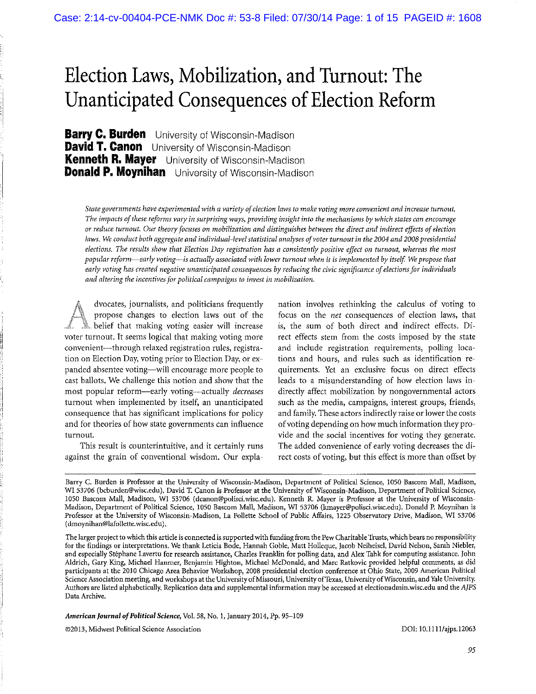# Election Laws, Mobilization, and Turnout: The Unanticipated Consequences of Election Reform

**Barry C. Burden** University of Wisconsin-Madison **David T. Canon** University of Wisconsin-Madison Kenneth R. Mayer University of Wisconsin-Madison **Donald P. Moynihan** University of Wisconsin-Madison

*State governments have experimented with a variety of election laws to make voting more convenient and increase turnout. The impacts of these reforms vary in surprising ways, providing insight into the mechanisms by which states can encourage or reduce turnout. Our theory focuses on mobilization and distinguishes between the direct and indirect effects of election*  laws. We conduct both aggregate and individual-level statistical analyses of voter turnout in the 2004 and 2008 presidential *elections.* The *results show that Election Day registration has a consistently positive effect on turnout, whereas the most popular reform-early voting-is actually associated with lower turnout when it is implemented by itself We propose that early voting has created negative unanticipated consequences by reducing the civic significance of elections for individuals and altering the incentives for political campaigns to invest in mobilization.* 

dvocates, journalists, and politicians frequently propose changes to election laws out of the belief that making voting easier will increase voter turnout. It seems logical that making voting more convenient-through relaxed registration rules, registration on Election Day, voting prior to Election Day, or expanded absentee voting-will encourage more people to cast ballots. We challenge this notion and show that the most popular reform-early voting-actually *decreases*  turnout when implemented by itself, an unanticipated consequence that has significant implications for policy and for theories of how state governments can influence turnout.

This result is counterintuitive, and it certainly runs against the grain of conventional wisdom. Our expla-

nation involves rethinking the calculus of voting to focus on the *net* consequences of election laws, that is, the sum of both direct and indirect effects. Direct effects stem from the costs imposed by the state and include registration requirements, polling locations and hours, and rules such as identification requirements. Yet an exclusive focus on direct effects leads to a misunderstanding of how election laws indirectly affect mobilization by nongovernmental actors such as the media, campaigns, interest groups, friends, and family. These actors indirectly raise or lower the costs of voting depending on how much information they provide and the social incentives for voting they generate. The added convenience of early voting decreases the direct costs of voting, but this effect is more than offset by

The larger project to which this article is connected is supported with funding from the Pew Charitable Trusts, which bears no responsibility for the findings or interpretations. We thank Leticia Bode, Hannah Goble, Matt Holleque, Jacob Neiheisel, David Nelson, Sarah Niebler, and especially Stephane Lavertu for research assistance, Charles Franklin for polling data, and Alex Tahk for computing assistance. John Aldrich, Gary King, Michael Hanmer, Benjamin Highton, Michael McDonald, and Marc Ratkovic provided helpful comments, as did participants at the 2010 Chicago Area Behavior Workshop, 2008 presidential election conference at Ohio State, 2009 American Political Science Association meeting, and workshops at the University of Missouri, University of Texas, University of Wisconsin, and Yale University. Authors are listed alphabetically. Replication data and supplemental information may be accessed at electionadmin.wisc.edu and the A]PS Data Archive.

*American Journal of Political Science,* Vol. 58, No. 1, January 2014, Pp. 95-109

©2013, Midwest Political Science Association DOl: IO.llll/ajps.l2063

Barry C. Burden is Professor at the University of Wisconsin-Madison, Department of Political Science, 1050 Bascom Mall, Madison, WI 53706 (bcburden@wisc.edu). David T. Canon is Professor at the University of Wisconsin-Madison, Department of Political Science, 1050 Bascom Mall, Madison, WI 53706 (dcanon@polisci.wisc.edu). Kenneth R. Mayer is Professor at the University of Wisconsin-Madison, Department of Political Science, 1050 Bascom Mall, Madison, WI 53706 (kmayer@polisd.wisc.edu). Donald P. Moynihan is Professor at the University of Wisconsin-Madison, La Follette School of Public Affairs, 1225 Observatory Drive, Madison, WI 53706 (dmoynihan@lafollette.wisc.edu).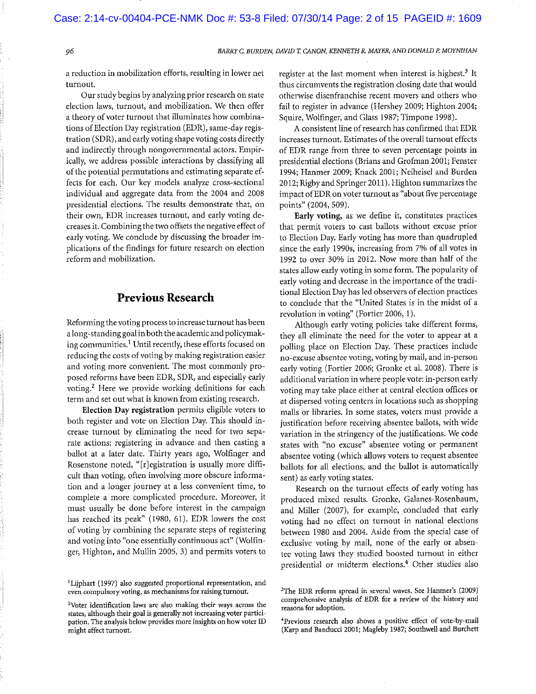'I

*BARRY* C. *BURDEN, DAVID T. CANON, KENNETH R. MAYER, AND DONALD P. MOYNIHAN* 

a reduction in mobilization efforts, resulting in lower net turnout.

Our study begins by analyzing prior research on state election laws, turnout, and mobilization. We then offer a theory of voter turnout that illuminates how combinations ofElection Day registration (EDR), same-day registration (SDR), and early voting shape voting costs directly and indirectly through nongovernmental actors. Empirically, we address possible interactions by classifying all of the potential permutations and estimating separate effects for each. Our key models analyze cross-sectional individual and aggregate data from the 2004 and 2008 presidential elections. The results demonstrate that, on their own, EDR increases turnout, and early voting decreases it. Combining the two offsets the negative effect of early voting. We conclude by discussing the broader implications of the findings for future research on election reform and mobilization.

# Previous Research

Reforming the voting process to increase turnout has been along-standing goal in both the academic and policymaking communities.<sup>1</sup> Until recently, these efforts focused on reducing the costs of voting by making registration easier and voting more convenient. The most commonly proposed reforms have been EDR, SDR, and especially early voting.2 Here we provide working definitions for each term and set out what is known from existing research.

**Election Day registration** permits eligible voters to both register and vote on Election Day. This should increase turnout by eliminating the need for two separate actions: registering in advance and then casting a ballot at a later date. Thirty years ago, Wolfinger and Rosenstone noted, "[r]egistration is usually more difficult than voting, often involving more obscure information and a longer journey at a less convenient time, to complete a more complicated procedure. Moreover, it must usually be done before interest in the campaign has reached its peak" (1980, 61). EDR lowers the cost of voting by combining the separate steps of registering and voting into "one essentially continuous act" (Wolfinger, Highton, and Mullin 2005, 3) and permits voters to register at the last moment when interest is highest.<sup>3</sup> It thus circumvents the registration closing date that would otherwise disenfranchise recent movers and others who fail to register in advance (Hershey 2009; Highton 2004; Squire, Wolfinger, and Glass 1987; Timpone 1998).

A consistent line of research has confirmed that EDR increases turnout. Estimates of the overall turnout effects of EDR range from three to seven percentage points in presidential elections (Brians and Grofman 2001; Fenster 1994; Hanmer 2009; Knack 2001; Neiheisel and Burden 2012; Rigby and Springer 2011). Highton summarizes the impact ofEDR on voter turnout as "about five percentage points" (2004, 509).

**Early voting,** as we define it, constitutes practices that permit voters to cast ballots without excuse prior to Election Day. Early voting has more than quadrupled since the early 1990s, increasing from 7% of all votes in 1992 to over 30% in 2012. Now more than half of the states allow early voting in some form. The popularity of early voting and decrease in the importance of the traditional Election Day has led observers of election practices to conclude that the "United States is in the midst of a revolution in voting" (Fortier 2006, 1).

Although early voting policies take different forms, they all eliminate the need for the voter to appear at a polling place on Election Day. These practices include no-excuse absentee voting, voting by mail, and in-person early voting (Fortier 2006; Gronke et al. 2008). There is additional variation in where people vote: in-person early voting may take place either at central election offices or at dispersed voting centers in locations such as shopping malls or libraries. In some states, voters must provide a justification before receiving absentee ballots, with wide variation in the stringency of the justifications. We code states with "no excuse" absentee voting or permanent absentee voting (which allows voters to request absentee ballots for all elections, and the ballot is automatically sent) as early voting states.

Research on the turnout effects of early voting has produced mixed results. Gronke, Galanes-Rosenbaum, and Miller (2007), for example, concluded that early voting had no effect on turnout in national elections between 1980 and 2004. Aside from the special case of exclusive voting by mail, none of the early or absentee voting laws they studied boosted turnout in either presidential or midterm elections.4 Other studies also

<sup>1</sup> Lijphart (1997) also suggested proportional representation, and even compulsory voting, as mechanisms for raising turnout.

<sup>2</sup>Voter identification laws are also making their ways across the states, although their goal is generally not increasing voter participation. The analysis below provides more insights on how voter ID might affect turnout.

<sup>&</sup>lt;sup>3</sup>The EDR reform spread in several waves. See Hanmer's (2009) comprehensive analysis of EDR for a review of the history and reasons for adoption.

<sup>4</sup>Previous research also shows a positive effect of vote-by-mail (Karp and Banducci 2001; Magleby 1987; Southwell and Burchett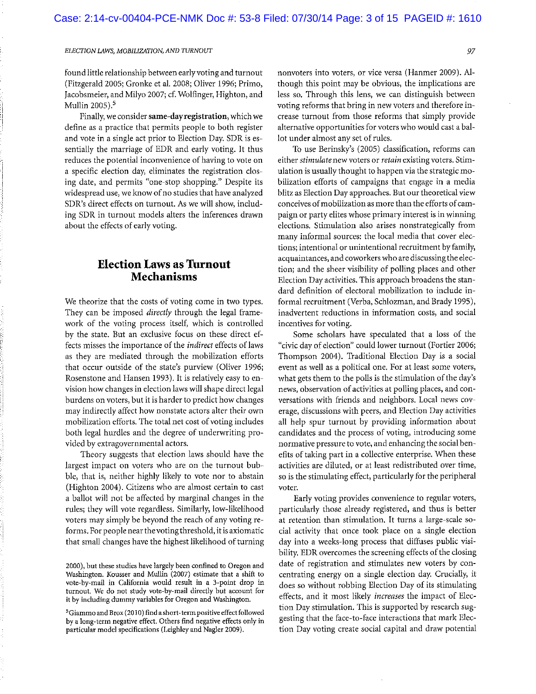ELECTION LAWS, MOBILJZATJON, AND TURNOUT

found little relationship between early voting and turnout (Fitzgerald 2005; Gronke et al. 2008; Oliver 1996; Primo, Jacobsmeier, and Milyo 2007; cf. Wolfinger, Highton, and Mullin 2005).<sup>5</sup>

Finally, we consider same-day registration, which we define as a practice that permits people to both register and vote in a single act prior to Election Day. SDR is essentially the marriage of EDR and early voting. It thus reduces the potential inconvenience of having to vote on a specific election day, eliminates the registration closing date, and permits "one-stop shopping." Despite its widespread use, we know of no studies that have analyzed SDR's direct effects on turnout. As we will show, including SDR in turnout models alters the inferences drawn about the effects of early voting.

# Election Laws as Turnout Mechanisms

We theorize that the costs of voting come in two types. They can be imposed *directly* through the legal framework of the voting process itself, which is controlled by the state. But an exclusive focus on these direct effects misses the importance of the *indirect* effects of laws as they are mediated through the mobilization efforts that occur outside of the state's purview (Oliver !996; Rosenstone and Hansen 1993). It is relatively easy to envision how changes in election laws will shape direct legal burdens on voters, but it is harder to predict how changes may indirectly affect how nonstate actors alter their own mobilization efforts. The total net cost of voting includes both legal hurdles and the degree of underwriting provided by extragovernmental actors.

Theory suggests that election laws should have the largest impact on voters who are on the turnout bubble, that is, neither highly likely to vote nor to abstain (Highton 2004). Citizens who are almost certain to cast a ballot will not be affected by marginal changes in the rules; they will vote regardless. Similarly, low-likelihood voters may simply be beyond the reach of any voting reforms. For people near the voting threshold, it is axiomatic that small changes have the highest likelihood of turning

5Giammo and Brox (20 10) find a short-term positive effect followed by a long-term negative effect. Others find negative effects only in particular model specifications (Leighley and Nagler 2009).

nonvoters into voters, or vice versa (Hanmer 2009). Although this point may be obvious, the implications are less so. Through this lens, we can distinguish between voting reforms that bring in new voters and therefore increase turnout from those reforms that simply provide alternative opportunities for voters who would cast a ballot under almost any set of rules.

*97* 

To use Berinsky's (2005) classification, reforms can either *stimulate* new voters or *retain* existing voters. Stimulation is usually thought to happen via the strategic mobilization efforts of campaigns that engage in a media blitz as Election Day approaches. But our theoretical view conceives of mobilization as more than the efforts of campaign or party elites whose primary interest is in winning elections. Stimulation also arises nonstrategically from many informal sources: the local media that cover elections; intentional or unintentional recruitment by family, acquaintances, and coworkers who arc discussing the election; and the sheer visibility of polling places and other Election Day activities. This approach broadens the standard definition of electoral mobilization to include informal recruitment (Verba, Schlozman, and Brady !995), inadvertent reductions in information costs, and social incentives for voting.

Some scholars have speculated that a loss of the "civic day of election" could lower turnout (Fortier 2006; Thompson 2004). Traditional Election Day is a social event as well as a political one. For at least some voters, what gets them to the polls is the stimulation of the day's news, observation of activities at polling places, and conversations with friends and neighbors. Local news coverage, discussions with peers, and Election Day activities all help spur turnout by providing information about candidates and the process of voting, introducing some normative pressure to vote, and enhancing the social benefits of taking part in a collective enterprise. When these activities are diluted, or at least redistributed over time, so is the stimulating effect, particularly for the peripheral voter.

Early voting provides convenience to regular voters, particularly those already registered, and thus is better at retention than stimulation. It turns a large-scale social activity that once took place on a single election day into a weeks-long process that diffuses public visibility. EDR overcomes the screening effects of the closing date of registration and stimulates new voters by concentrating energy on a single election day. Crucially, it does so without robbing Election Day of its stimulating effects, and it most likely *increases* the impact of Election Day stimulation. This is supported by research suggesting that the face-to-face interactions that mark Election Day voting create social capital and draw potential

<sup>2000),</sup> but these studies have largely been confined to Oregon and Washington. Kousser and Mullin (2007) estimate that a shift to vote-by-mail in California would result in a 3-point drop in turnout. We do not study vote-by-mail directly but account for it by including dummy variables for Oregon and Washington.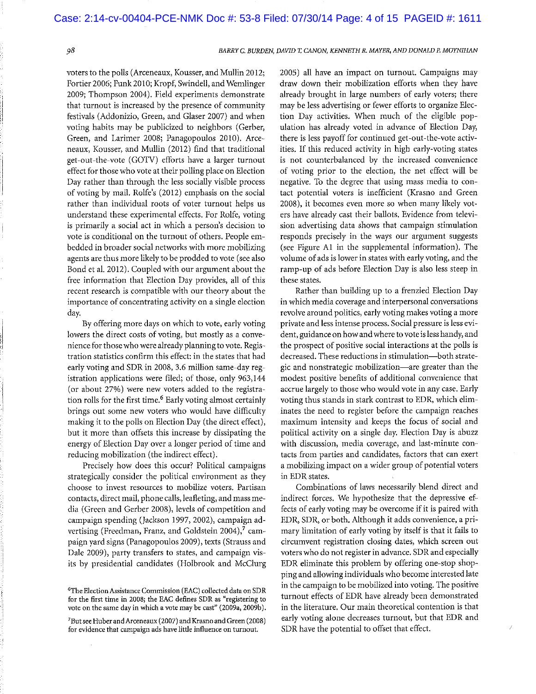#### 98

*BARRY* C. *BURDEN, DAVID T. CANON, KENNETH R. MAYER, AND DONALD P, MOYNIHAN* 

voters to the polls (Arceneaux, Kousser, and Mullin 2012; Fortier 2006; Funk 2010; Kropf, Swindell, and Wemlinger 2009; Thompson 2004). Field experiments demonstrate that turnout is increased by the presence of community festivals (Addonizio, Green, and Glaser 2007) and when voting habits may be publicized to neighbors (Gerber, Green, and Larimer 2008; Panagopoulos 2010). Arceneaux, Kousser, and Mullin (2012) find that traditional get-out-the-vote (GOTV) efforts have a larger turnout effect for those who vote at their polling place on Election Day rather than through the less socially visible process of voting by mail. Rolfe's (2012) emphasis on the social rather than individual roots of voter turnout helps us understand these experimental effects. For Rolfe, voting is primarily a social act in which a person's decision to vote is conditional on the turnout of others. People embedded in broader social networks with more mobilizing agents are thus more likely to be prodded to vote (see also Bond et al. 2012). Coupled with our argument about the free information that Election Day provides, all of this recent research is compatible with our theory about the importance of concentrating activity on a single election day.

By offering more days on which to vote, early voting lowers the direct costs of voting, but mostly as a convenience for those who were already planning to vote. Registration statistics confirm this effect: in the states that had early voting and SDR in 2008, 3.6 million same-day registration applications were filed; of those, only 963,144 (or about 27%) were new voters added to the registration rolls for the first time.<sup>6</sup> Early voting almost certainly brings out some new voters who would have difficulty making it to the polls on Election Day (the direct effect), but it more than offsets this increase by dissipating the energy of Election Day over a longer period of time and reducing mobilization (the indirect effect).

Precisely how does this occur? Political campaigns strategically consider the political environment as they choose to invest resources to mobilize voters. Partisan contacts, direct mail, phone calls, leafleting, and mass media (Green and Gerber 2008), levels of competition and campaign spending (Jackson 1997, 2002), campaign advertising (Freedman, Franz, and Goldstein 2004),<sup>7</sup> campaign yard signs (Panagopoulos 2009), texts (Strauss and Dale 2009), party transfers to states, and campaign visits by presidential candidates (Holbrook and McClurg 2005) all have an impact on turnout. Campaigns may draw down their mobilization efforts when they have already brought in large numbers of early voters; there may be less advertising or fewer efforts to organize Election Day activities. When much of the eligible population has already voted in advance of Election Day, there is less payoff for continued get-out-the-vote activities. If this reduced activity in high early-voting states is not counterbalanced by the increased convenience of voting prior to the election, the net effect will be negative. To the degree that using mass media to contact potential voters is inefficient (Krasno and Green 2008), it becomes even more so when many likely voters have already cast their ballots. Evidence from television advertising data shows that campaign stimulation responds precisely in the ways our argument suggests (see Figure A1 in the supplemental information). The volume of ads is lower in states With early voting, and the ramp-up of ads before Election Day is also less steep in these states.

Rather than building up to a frenzied Election Day in which media coverage and interpersonal conversations revolve around politics, early voting makes voting a more private and less intense process. Social pressure is less evident, guidance on how and where to vote is less handy, and the prospect of positive social interactions at the polls is decreased. These reductions in stimulation-both strategic and nonstrategic mobilization-are greater than the modest positive benefits of additional convenience that accrue largely to those who would vote in any case. Early voting thus stands in stark contrast to EDR, which eliminates the need to register before the campaign reaches maximum intensity and keeps the focus of social and political activity on a single day. Election Day is abuzz with discussion, media coverage, and last-minute contacts from parties and candidates, factors that can exert a mobilizing impact on a wider group of potential voters in EDR states.

Combinations of laws necessarily blend direct and indirect forces. We hypothesize that the depressive effects of early voting may be overcome if it is paired with EDR, SDR, or both. Although it adds convenience, a primary limitation of early voting by itself is that it fails to circumvent registration dosing dates, which screen out voters who do not register in advance. SDR and especially EDR eliminate this problem by offering one-stop shopping and allowing individuals who become interested late in the campaign to be mobilized into voting. The positive turnout effects of EDR have already been demonstrated in the literature. Our main theoretical contention is that early voting alone decreases turnout, but that EDR and SDR have the potential to offset that effect.

<sup>6</sup>The Election Assistance Commission (EAC) collected data on SDR for the first time in 2008; the EAC defines SDR as "registering to vote on the same day in which a vote may be cast" (2009a, 2009b).

<sup>7</sup>But see Huber and Arceneaux (2007) and Krasno and Green (2008) for evidence that campaign ads have little influence on turnout.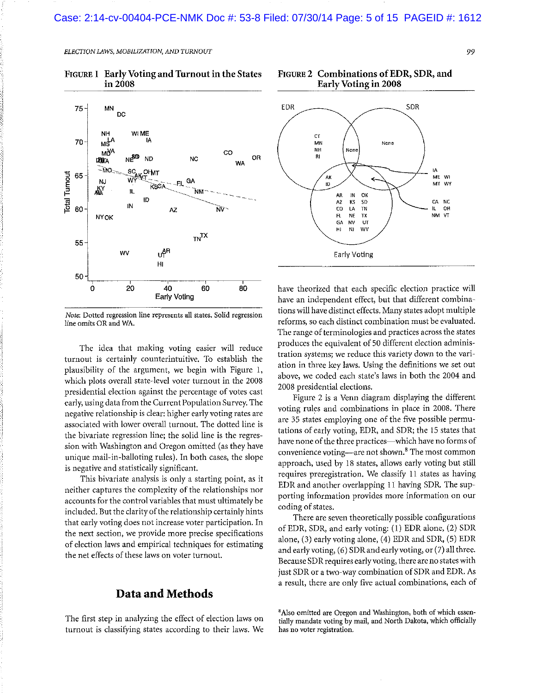*ELECTION LAWS, MOBILIZATION, AND TURNOUT* 



FIGURE I Early Voting and Turnout in the States in 2008

*Note: Dotted regression line represents all states. Solid regression* line omits OR and WA.

The idea that making voting easier will reduce turnout is certainly counterintuitive. To establish the plausibility of the argument, we begin with Figure 1, which plots overall state-level voter turnout in the 2008 presidential election against the percentage of votes cast early, using data from the Current Population Survey. The negative relationship is clear: higher early voting rates are associated with lower overall turnout. The dotted line is the bivariate regression line; the solid line is the regression with Washington and Oregon omitted (as they have unique mail-in-balloting rules), In both cases, the slope is negative and statistically significant.

This bivariate analysis is only a starting point, as it neither captures the complexity of the relationships nor accounts for the control variables that must ultimately be included. But the clarity of the relationship certainly hints that early voting does not increase voter participation. In the next section, we provide more precise specifications of election laws and empirical techniques for estimating the net effects of these laws on voter turnout.

# Data and Methods

The first step in analyzing the effect of election laws on turnout is classifying states according to their laws. We

FIGURE 2 Combinations of EDR, SDR, and Early Voting in 2008



have theorized that each specific election practice will have an independent effect, but that different combinations will have distinct effects. Many states adopt multiple reforms, so each distinct combination must be evaluated. The range of terminologies and practices across the states produces the equivalent of 50 different election administration systems; we reduce this variety down to the variation in three key laws. Using the definitions we set out above, we coded each state's laws in both the 2004 and 2008 presidential elections.

Figure 2 is a Venn diagram displaying the different voting rules and combinations in place in 2008. There are 35 states employing one of the five possible permutations of early voting, EDR, and SDR; the 15 states that have none of the three practices-which have no forms of convenience voting—are not shown.<sup>8</sup> The most common approach, used by 18 states, allows early voting but still requires preregistration. We classify 11 states as having EDR and another overlapping 11 having SDR The supporting information provides more information on our coding of states.

There are seven theoretically possible configurations of EDR, SDR, and early voting: (1) EDR alone, (2) SDR alone, (3) early voting alone, (4) EDR and SDR, (5) EDR and early voting, (6) SDRand early voting, or (7) all three. Because SDR requires early voting, there are no states with just SDR or a two-way combination of SDR and EDR. As a result, there are only five actual combinations, each of

<sup>&</sup>lt;sup>8</sup> Also omitted are Oregon and Washington, both of which essentially mandate voting by mail, and North Dakota, which officially has no voter registration.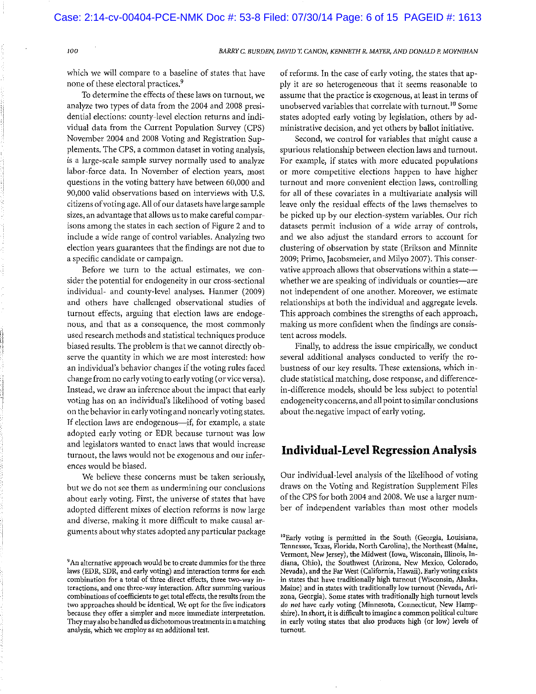:I H

I

100 *BARRY* C. *BURDEN, DAVID* T. *CANON, KENNETH R, MAYER, AND DONALD P. MOYNIHAN* 

which we will compare to a baseline of states that have none of these electoral practices.<sup>9</sup>

To determine the effects of these laws on turnout, we analyze two types of data from the 2004 and 2008 presidential elections: county-level election returns and individual data from the Current Population Survey (CPS) November 2004 and 2008 Voting and Registration Supplements. The CPS, a common dataset in voting analysis, is a large-scale sample survey normally used to analyze labor-force data. In November of election years, most questions in the voting battery have between 60,000 and 90,000 valid observations based on interviews with U.S. citizens of voting age. All of our datasets have large sample sizes, an advantage that allows us to make careful comparisons among the states in each section of Figure 2 and to include a wide range of control variables. Analyzing two election years guarantees that the findings are not due to a specific candidate or campaign.

Before we turn to the actual estimates, we consider the potential for endogeneity in our cross-sectional individual- and county-level analyses. Hanmer (2009) and others have challenged observational studies of turnout effects, arguing that election laws are endogenous, and that as a consequence, the most commonly used research methods and statistical techniques produce biased results. The problem is that we cannot directly observe the quantity in which we are most interested: how an individual's behavior changes if the voting rules faced change from no early voting to early voting (or vice versa). Instead, we draw an inference about the impact that early voting has on an individual's likelihood of voting based on the behavior in early voting and no nearly voting states. If election laws are endogenous—if, for example, a state adopted early voting or EDR because turnout was low and legislators wanted to enact laws that would increase turnout, the laws would not be exogenous and our inferences would be biased.

We believe these concerns must be taken seriously, but we do not see them as undermining our conclusions about early voting. First, the universe of states that have adopted different mixes of election reforms is now large and diverse, making it more difficult to make causal arguments about why states adopted any particular package of reforms. In the case of early voting, the states that apply it are so heterogeneous that it seems reasonable to assume that the practice is exogenous, at least in terms of unobserved variables that correlate with turnout. 10 Some states adopted early voting by legislation, others by administrative decision, and yet others by ballot initiative.

Second, we control for variables that might cause a spurious relationship between election laws and turnout. For example, if states with more educated populations or more competitive elections happen to have higher turnout and more convenient election laws, controlling for all of these covariates in a multivariate analysis will leave only the residual effects of the laws themselves to be picked up by our election-system variables. Our rich datasets permit inclusion of a wide array of controls, and we also adjust the standard errors to account for clustering of observation by state (Erikson and Minnite 2009; Primo, Jacobsmeier, and Milyo 2007). This conservative approach allows that observations within a statewhether we are speaking of individuals or counties-are not independent of one another. Moreover, we estimate relationships at both the individual and aggregate levels. This approach combines the strengths of each approach, making us more confident when the findings are consistent across models.

Finally, to address the issue empirically, we conduct several additional analyses conducted to verify the robustness of our key results. These extensions, which include statistical matching, dose response, and differencein-difference models, should be less subject to potential endogeneity concerns, and all point to similar conclusions about the. negative impact of early voting.

# Individual-Level Regression Analysis

Our individual-level analysis of the likelihood of voting draws on the Voting and Registration Supplement Files of the CPS for both 2004 and 2008. We use a larger number of independent variables than most other models

<sup>&</sup>lt;sup>9</sup> An alternative approach would be to create dummies for the three laws (EDR, SDR, and early voting) and interaction terms for each combination for a total of three direct effects, three two-way interactions, and one three-way interaction. After summing various combinations of coefficients to get total effects, the results from the two approaches should be identical. We opt for the five indicators because they offer a simpler and more immediate interpretation. They may also be handled as dichotomous treatments in a matching analysis, which we employ as an additional test.

<sup>&</sup>lt;sup>10</sup>Early voting is permitted in the South (Georgia, Louisiana, Tennessee, Texas, Florida, North Carolina), the Northeast (Maine, Vermont, New Jersey), the Midwest (Iowa, Wisconsin, Illinois, Indiana, Ohio), the Southwest (Arizona, New Mexico, Colorado, Nevada), and the Far West (California, Hawaii). Early voting exists in states that have traditionally high turnout (Wisconsin, Alaska, Maine) and in states with traditionally low turnout (Nevada, Arizona, Georgia). Some states with traditionally high turnout levels *do not* have early voting (Minnesota, Connecticut, New Hampshire). In short, it is difficult to imagine a common political culture in early voting states that also produces high (or low) levels of turnout.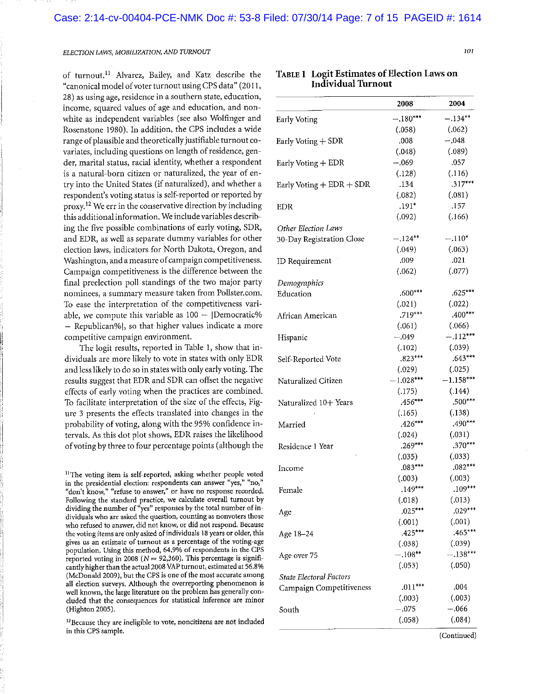#### ELECTION LAWS, MOBILIZATION, AND TURNOUT 101

of turnout.<sup>11</sup> Alvarez, Bailey, and Katz describe the **TABLE 1 Logit Estimates of Election Laws on**<br>"canonical model of voter turnout using CPS data" (2011. **Individual Turnout** "canonical model of voter turnout using CPS data" (2011, 28) as using age, residence in a southern state, education, 2008 2008 2004<br>income, squared values of age and education, and nonwhite as independent variables (see also Wolfinger and Rosenstone 1980). In addition, the CPS includes a wide range of plausible and theoretically justifiable turnout covariates, including questions on length of residence, gender, marital status, racial identity, whether a respondent is a natural-born citizen or naturalized, the year of entry into the United States (if naturalized), and whether a respondent's voting status is self-reported or reported by proxy.<sup>12</sup> We err in the conservative direction by including this additional information. We include variables describing the five possible combinations of early voting, SDR, and EDR, as well as separate dummy variables for other election laws, indicators for North Dakota, Oregon, and Washington, and a measure of campaign competitiveness. Campaign competitiveness is the difference between the final preelection poll standings of the two major party nominees, a summary measure taken from Pollster.com. To ease the interpretation of the competitiveness variable, we compute this variable as  $100 - |$ Democratic% - Republican%!, so that higher values indicate a more competitive campaign environment.

~·J

<sup>12</sup>Because they are ineligible to vote, noncitizens are not included  $(0.058)$  (.084) in this CPS sample. (Continued) (Continued)

| ncome, squared values of age and education, and non-                                                                                             |                              | zuus        | <b>ZUU4</b> |
|--------------------------------------------------------------------------------------------------------------------------------------------------|------------------------------|-------------|-------------|
| vhite as independent variables (see also Wolfinger and                                                                                           | <b>Early Voting</b>          | $-.180***$  | $-.134***$  |
| dosenstone 1980). In addition, the CPS includes a wide                                                                                           |                              | (.058)      | (.062)      |
| ange of plausible and theoretically justifiable turnout co-                                                                                      | Early Voting $+$ SDR         | .008        | $-.048$     |
| ariates, including questions on length of residence, gen-                                                                                        |                              | (.048)      | (.089)      |
| ler, marital status, racial identity, whether a respondent                                                                                       | Early Voting + EDR           | $-.069$     | .057        |
| s a natural-born citizen or naturalized, the year of en-                                                                                         |                              | (.128)      | (.116)      |
| ry into the United States (if naturalized), and whether a                                                                                        | Early Voting $+$ EDR $+$ SDR | 134         | $.317***$   |
| espondent's voting status is self-reported or reported by                                                                                        |                              | (.082)      | (.081)      |
| proxy. <sup>12</sup> We err in the conservative direction by including                                                                           | <b>EDR</b>                   | $.191*$     | .157        |
| his additional information. We include variables describ-                                                                                        |                              | (.092)      | (.166)      |
| ng the five possible combinations of early voting, SDR,                                                                                          | Other Election Laws          |             |             |
| ind EDR, as well as separate dummy variables for other                                                                                           | 30-Day Registration Close    | $-.124**$   | $-.110*$    |
| lection laws, indicators for North Dakota, Oregon, and                                                                                           |                              | (.049)      | (.063)      |
| Vashington, and a measure of campaign competitiveness.                                                                                           | ID Requirement               | .009        | .021        |
| Campaign competitiveness is the difference between the                                                                                           |                              | (.062)      | (.077)      |
| inal preelection poll standings of the two major party                                                                                           | Demographics                 |             |             |
| nominees, a summary measure taken from Pollster.com.                                                                                             | Education                    | $.600***$   | $,625***$   |
| To ease the interpretation of the competitiveness vari-                                                                                          |                              | (.021)      | (.022)      |
| ble, we compute this variable as 100 -  Democratic%                                                                                              | African American             | $.719***$   | $.400***$   |
| - Republican%), so that higher values indicate a more                                                                                            |                              | (061)       | (.066)      |
| competitive campaign environment.                                                                                                                | Hispanic                     | $-.049$     | $-.112***$  |
| The logit results, reported in Table 1, show that in-                                                                                            |                              | (.102)      | (.039)      |
| dividuals are more likely to vote in states with only EDR                                                                                        | Self-Reported Vote           | $.823***$   | $.643***$   |
| and less likely to do so in states with only early voting. The                                                                                   |                              | (.029)      | (.025)      |
| results suggest that EDR and SDR can offset the negative                                                                                         | Naturalized Citizen          | $-1.028***$ | $-1.158***$ |
| effects of early voting when the practices are combined.                                                                                         |                              | (.175)      | (.144)      |
| To facilitate interpretation of the size of the effects, Fig-                                                                                    | Naturalized 10+ Years        | .456***     | $.500***$   |
| ure 3 presents the effects translated into changes in the                                                                                        |                              | (.165)      | (.138)      |
| probability of voting, along with the 95% confidence in-                                                                                         | Married                      | $.426***$   | .490***     |
| tervals. As this dot plot shows, EDR raises the likelihood                                                                                       |                              | (.024)      | (.031)      |
| of voting by three to four percentage points (although the                                                                                       | Residence 1 Year             | $.269***$   | $.370***$   |
|                                                                                                                                                  |                              | (.035)      | (.033)      |
|                                                                                                                                                  | Income                       | $.083***$   | $.082***$   |
| <sup>11</sup> The voting item is self-reported, asking whether people voted<br>in the presidential election: respondents can answer "yes," "no," |                              | (.003)      | (.003)      |
| "don't know," "refuse to answer," or have no response recorded.                                                                                  | Female                       | $.149***$   | $.109***$   |
| Following the standard practice, we calculate overall turnout by                                                                                 |                              | (.018)      | (.013)      |
| dividing the number of "yes" responses by the total number of in-                                                                                | Age                          | $0.025***$  | $.029***$   |
| dividuals who are asked the question, counting as nonvoters those<br>who refused to answer, did not know, or did not respond. Because            |                              | (.001)      | (.001)      |
| the voting items are only asked of individuals 18 years or older, this                                                                           | Age 18-24                    | $,425***$   | $.465***$   |
| gives us an estimate of turnout as a percentage of the voting-age                                                                                |                              | (.038)      | (.039)      |
| population. Using this method, 64.9% of respondents in the CPS<br>reported voting in 2008 ( $N = 92,360$ ). This percentage is signifi-          | Age over 75                  | $-.108**$   | $-.138***$  |
| cantly higher than the actual 2008 VAP turnout, estimated at 56.8%                                                                               |                              | (.053)      | (.050)      |
| (McDonald 2009), but the CPS is one of the most accurate among                                                                                   | State Electoral Factors      |             |             |
| all election surveys. Although the overreporting phenomenon is                                                                                   | Campaign Competitiveness     | $.011***$   | .004        |
| well known, the large literature on the problem has generally con-<br>cluded that the consequences for statistical inference are minor           |                              | (.003)      | (.003)      |
| (Highton 2005).                                                                                                                                  | South                        | $-.075$     | $-.066$     |
|                                                                                                                                                  |                              | (0.00)      | (0.04)      |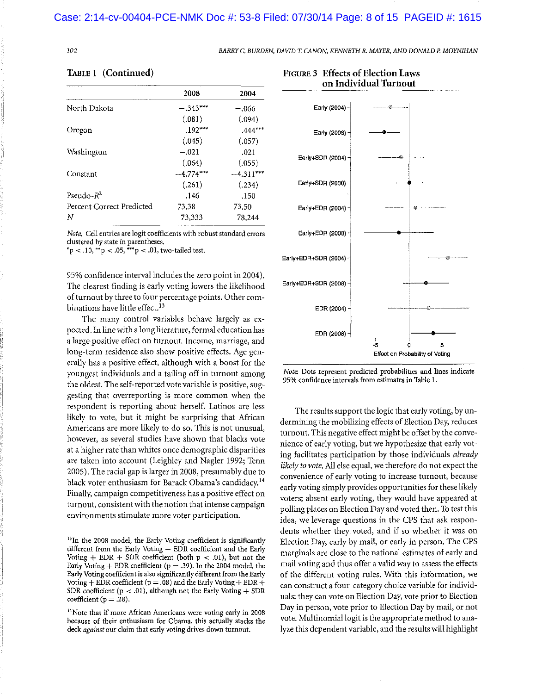*102 BARRY* C, *BURDEN, DAVID* T. *CANON, KENNETH R. MAYER, AND DONALD P. MOYNIHAN* 

|                           | 2008        | 2004        |
|---------------------------|-------------|-------------|
| North Dakota              | $-343***$   | $-.066$     |
|                           | (.081)      | (.094)      |
| Oregon                    | $.192***$   | $.444***$   |
|                           | (.045)      | (.057)      |
| Washington                | $-.021$     | .021        |
|                           | (.064)      | (.055)      |
| Constant                  | $-4.774***$ | $-4.311***$ |
|                           | (.261)      | (.234)      |
| Pseudo- $R^2$             | .146        | .150        |
| Percent Correct Predicted | 73.38       | 73.50       |
| Ν                         | 73.333      | 78,244      |

## TABLE 1 (Continued)

*Note:* Cell entries are logit coefficients with robust standard errors clustered by state in parentheses.

 ${}^*p$  < .10,  ${}^{**}p$  < .05,  ${}^{***}p$  < .01, two-tailed test.

95% confidence interval includes the zero point in 2004). The clearest finding is early voting lowers the likelihood of turnout by three to four percentage points. Other combinations have little effect.<sup>13</sup>

The many control variables behave largely as expected. In line with a long literature, formal education has a large positive effect on turnout. Income, marriage, and long-term residence also show positive effects. Age generally has a positive effect, although with a boost for the youngest individuals and a tailing off in turnout among the oldest. The self-reported vote variable is positive, suggesting that overreporting is more common when the respondent is reporting about herself. Latinos are less likely to vote, but it might be surprising that African Americans are more likely to do so. This is not unusual, however, as several studies have shown that blacks vote at a higher rate than whites once demographic disparities are taken into account (Leighley and Nagler 1992; Tenn 2005). The racial gap is larger in 2008, presumably due to black voter enthusiasm for Barack Obama's candidacy. <sup>14</sup> Finally, campaign competitiveness has a positive effect on turnout, consistent with the notion that intense campaign environments stimulate more voter participation.

14Note that if more African Americans were voting early in 2008 because of their enthusiasm for Obama, this actually stacks the deck *against* our claim that early voting drives down turnout.



#### *Note:* Dots represent predicted probabilities and lines indicate 95% confidence intervals from estimates in Table 1.

The results support the logic that early voting, by undermining the mobilizing effects of Election Day, reduces turnout. This negative effect might be offset by the convenience of early voting, but we hypothesize that early voting facilitates participation by those individuals *already likely to vote.* All else equal, we therefore do not expect the convenience of early voting to increase turnout, because early voting simply provides opportunities for these likely voters; absent early voting, they would have appeared at polling places on Election Day and voted then. To test this idea, we leverage questions in the CPS that ask respondents whether they voted, and if so whether it was on Election Day, early by mail, or early in person. The CPS marginals arc close to the national estimates of early and mail voting and thus offer a valid way to assess the effects of the different voting rules. With this information, we can construct a four-category choice variable for individuals: they can vote on Election Day, vote prior to Election Day in person, vote prior to Election Day by mail, or not vote. Multinomial logit is the appropriate method to analyze this dependent variable, and the results will highlight

<sup>&</sup>lt;sup>13</sup>In the 2008 model, the Early Voting coefficient is significantly different from the Early Voting + EDR coefficient and the Early Voting + EDR + SDR coefficient (both  $p < .01$ ), but not the Early Voting + EDR coefficient ( $p = .39$ ). In the 2004 model, the Early Voting coefficient is also significantly different from the Early Voting + EDR coefficient ( $p = .08$ ) and the Early Voting + EDR + SDR coefficient ( $p < .01$ ), although not the Early Voting + SDR coefficient ( $p = .28$ ).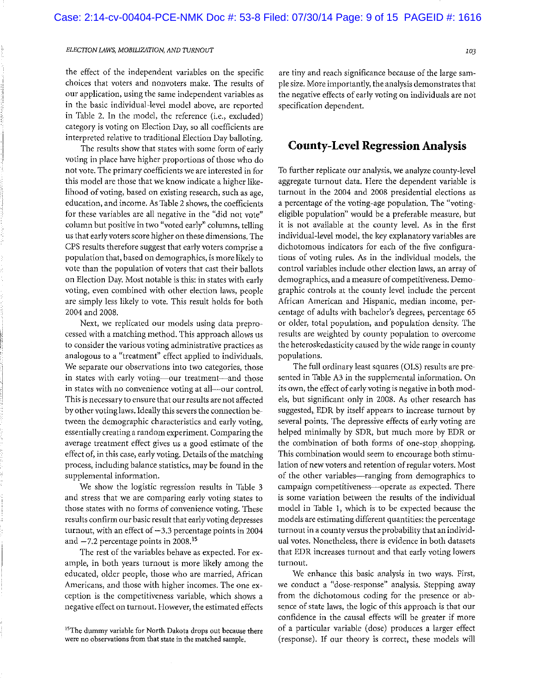the effect of the independent variables on the specific choices that voters and nonvoters make. The results of our application, using the same independent variables as in the basic individual-level model above, are reported in Table 2. In the model, the reference (i.e., excluded) category is voting on Election Day, so all coefficients are interpreted relative to traditional Election Day balloting.

The results show that states with some form of early voting in place have higher proportions of those who do not vote. The primary coefficients we are interested in for this model are those that we know indicate a higher likelihood of voting, based on existing research, such as age, education, and income. As Table 2 shows, the coefficients for these variables are all negative in the "did not vote" column but positive in two "voted early" columns, telling us that early voters score higher on these dimensions. The CPS results therefore suggest that early voters comprise a population that, based on demographics, is more likely to vote than the population of voters that cast their ballots on Election Day. Most notable is this: in states with early voting, even combined with other election laws, people are simply less likely to vote. This result holds for both 2004 and 2008.

Next, we replicated our models using data preprocessed with a matching method. This approach allows us to consider the various voting administrative practices as analogous to a "treatment" effect applied to individuals. We separate our observations into two categories, those in states with early voting—our treatment—and those in states with no convenience voting at all—our control. This is necessary to ensure that our results are not affected by other voting laws. Ideally this severs the connection between the demographic characteristics and early voting, essentially creating a random experiment. Comparing the average treatment effect gives us a good estimate of the effect of, in this case, early voting. Details of the matching process, including balance statistics, may be found in the supplemental information.

We show the logistic regression results in Table 3 and stress that we are comparing early voting states to those states with no forms of convenience voting. These results confirm our basic result that early voting depresses turnout, with an effect of  $-3.3$  percentage points in 2004 and  $-7.2$  percentage points in 2008.<sup>15</sup>

The rest of the variables behave as expected. For example, in both years turnout is more likely among the educated, older people, those who are married, African Americans, and those with higher incomes. The one exception is the competitiveness variable, which shows a negative effect on turnout. However, the estimated effects are tiny and reach significance because of the large sample size. More importantly, the analysis demonstrates that the negative effects of early voting on individuals are not specification dependent.

# County-Level Regression Analysis

To further replicate our analysis, we analyze county-level aggregate turnout data. Here the dependent variable is turnout in the 2004 and 2008 presidential elections as a percentage of the voting-age population. The "votingeligible population" would be a preferable measure, but it is not available at the county level. As in the first individual-level model, the key explanatory variables are dichotomous indicators for each of the five configurations of voting rules. As in the individual models, the control variables include other election laws, an array of demographics, and a measure of competitiveness. Demographic controls at the county level include the percent African American and Hispanic, median income, percentage of adults with bachelor's degrees, percentage 65 or older, total population, and population density. The results are weighted by county population to overcome the heteroskedasticity caused by the wide range in county populations.

The full ordinary least squares (OLS) results are presented in Table A3 in the supplemental information. On its own, the effect of early voting is negative in both models, but significant only in 2008. As other research has suggested, EDR by itself appears to increase turnout by several points. The depressive effects of early voting are helped minimally by SDR, but much more by EDR or the combination of both forms of one-stop. shopping. This combination would seem to encourage both stimulation of new voters and retention of regular voters. Most of the other variables-ranging from demographics to campaign competitiveness-operate as expected. There is some variation between the results of the individual model in Table I, which is to be expected because the models are estimating different quantities: the percentage turnout in a county versus the probability that an individual votes. Nonetheless, there is evidence in both datasets that EDR increases turnout and that early voting lowers turnout.

We enhance this basic analysis in two ways. First, we conduct a "dose-response" analysis. Stepping away from the dichotomous coding for the presence or absence of state laws, the logic of this approach is that our confidence in the causal effects will be greater if more of a particular variable (dose) produces a larger effect (response). If our theory is correct, these models will

<sup>&</sup>lt;sup>15</sup>The dummy variable for North Dakota drops out because there were no observations from that state in the matched sample.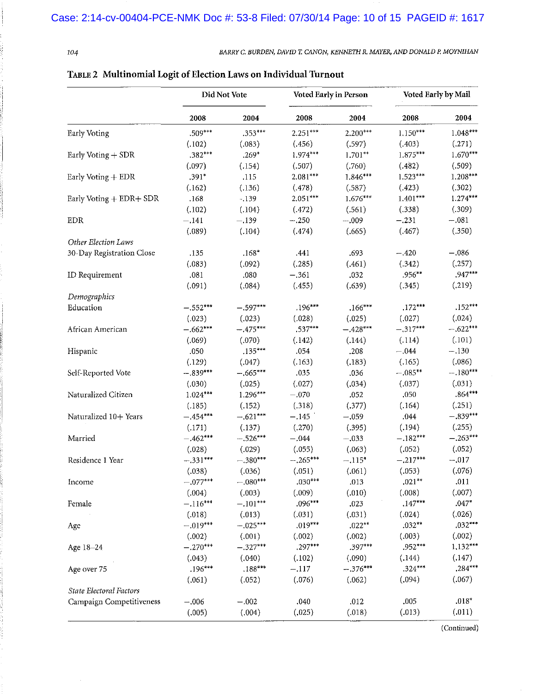|                              | Did Not Vote        |            | Voted Early in Person |            | Voted Early by Mail |            |
|------------------------------|---------------------|------------|-----------------------|------------|---------------------|------------|
|                              | 2008                | 2004       | 2008                  | 2004       | 2008                | 2004       |
| <b>Early Voting</b>          | .509***             | $.353***$  | $2.251***$            | 2.200***   | $1,150***$          | $1.048***$ |
|                              | (.102)              | (.083)     | (.456)                | (.597)     | (.403)              | (.271)     |
| Early Voting + SDR           | $.382***$           | $.269*$    | 1.974***              | $1.701**$  | 1.875***            | $1.670***$ |
|                              | (.097)              | (.154)     | (.507)                | (.760)     | (.482)              | (.509)     |
| Early Voting + EDR           | $.391*$             | .115       | $2.081***$            | 1,846***   | $1.523***$          | 1.208***   |
|                              | (.162)              | (.136)     | (478)                 | (.587)     | (.423)              | (.302)     |
| Early Voting $+$ EDR $+$ SDR | .168                | $-.139$    | $2.051***$            | $1.676***$ | $1.401***$          | $1.274***$ |
|                              | (.102)              | (.104)     | (.472)                | (.561)     | (.338)              | (.309)     |
| $\rm EDR$                    | $-.141$             | $-.139$    | $-250$                | $-.009$    | $-.231$             | $-081$     |
|                              | (.089)              | (.104)     | (474)                 | (.665)     | (.467)              | (.350)     |
| Other Election Laws          |                     |            |                       |            |                     |            |
| 30-Day Registration Close    | .135                | $.168*$    | .441                  | .693       | $-.420$             | $-.086$    |
|                              | (.083)              | (.092)     | (.285)                | (.461)     | (.342)              | (.257)     |
| ID Requirement               | .081                | .080       | $-.361$               | .032       | .956**              | .947***    |
|                              | (.091)              | (.084)     | (.455)                | (.639)     | (.345)              | (.219)     |
| Demographics                 |                     |            |                       |            |                     |            |
| Education                    | $-.552***$          | $-.597***$ | $.196***$             | $.166***$  | $.172***$           | $152***$   |
|                              | (.023)              | (.023)     | (.028)                | (.025)     | (.027)              | (.024)     |
| African American             | $-.662***$          | $-.475***$ | $.537***$             | $-.428***$ | $-.317***$          | $-.622***$ |
|                              | (.069)              | (.070)     | (.142)                | (.144)     | (.114)              | (.101)     |
| Hispanic                     | .050                | $.135***$  | .054                  | .208       | $-.044$             | $-.130$    |
|                              | (.129)              | (.047)     | (.163)                | (.183)     | (.165)              | (.086)     |
| Self-Reported Vote           | $-.839***$          | $-.665***$ | .035                  | .036       | $-.085**$           | $-.180***$ |
|                              | (.030)              | (.025)     | (.027)                | (.034)     | (.037)              | (.031)     |
| Naturalized Citizen          | $1.024***$          | 1.296***   | $-.070$               | .052       | ,050                | $.864***$  |
|                              | (.185)              | (.152)     | (.318)                | (.377)     | (.164)              | (.251)     |
| Naturalized 10+ Years        | $-.454***$          | $-.621***$ | $-.145$               | $-.059$    | .044                | $-.839***$ |
|                              | (.171)              | (.137)     | (.270)                | (.395)     | (.194)              | (.255)     |
| Married                      | $-.462***$          | $-.526***$ | $-.044$               | $-.033$    | $-.182***$          | $-.263***$ |
|                              | (.028)              | (.029)     | (.055)                | (.063)     | (.052)              | (.052)     |
| Residence 1 Year             | $-331***$           | $-.380***$ | $-.265***$            | $-.115*$   | $-.217***$          | $-\;017$   |
|                              | (.038)              | (.036)     | (.051)                | (.061)     | (.053)              | (.076)     |
| income                       | $-.077***$          | $-.080***$ | $.030***$             | ,013       | ,021**              | .011       |
|                              | (.004)              | (.003)     | (.009)                | (.010)     | (.008)              | (.007)     |
| Female                       | $-.116***$          | $-.101***$ | $.096***$             | .023       | $.147***$           | $.047*$    |
|                              | (.018)              | (.013)     | (.031)                | (.031)     | (.024)              | (.026)     |
|                              | $-.019***$          | $-.025***$ | $.019***$             | $.022**$   | $.032**$            | $.032***$  |
| Age                          | (.002)              | (.001)     | (.002)                | (.002)     | (.003)              | (.002)     |
|                              | $-.270***$          | $-.327***$ | .297***               | $.397***$  | .952***             | $1.132***$ |
| Age 18-24                    |                     | (.040)     |                       |            | (.144)              | (.147)     |
|                              | (.043)<br>$.196***$ | $0.188***$ | (.102)                | (.090)     | $.324***$           | $.284***$  |
| Age over 75                  |                     |            | $-.117$               | $-.376***$ |                     |            |
|                              | (.061)              | (.052)     | (.076)                | (.062)     | (.094)              | (.067)     |
| State Electoral Factors      |                     |            |                       |            |                     |            |
| Campaign Competitiveness     | $-.006$             | $-.002$    | .040                  | .012       | .005                | $.018*$    |
|                              | (.005)              | (.004)     | (.025)                | (.018)     | (.013)              | (.011)     |

# TABLE2 Multinomial Logit of Election Laws on Individual Turnout

(Continued)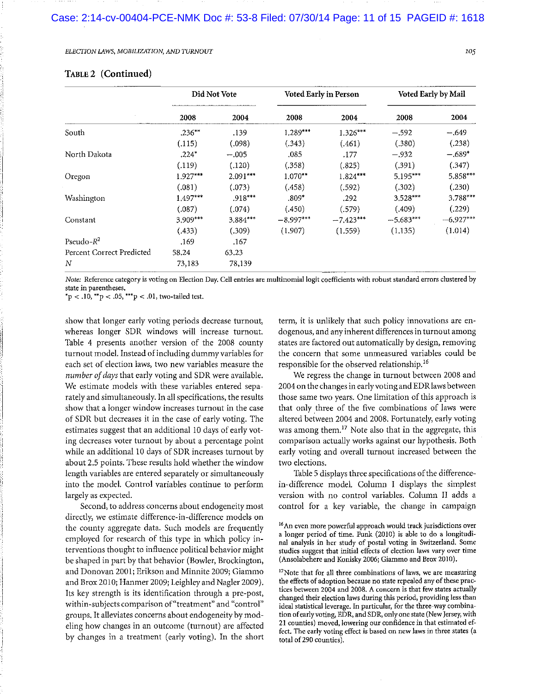*ELECTION LAWS, MOBILIZATION, AND TURNOUT 105* 

|                           | Did Not Vote |            | <b>Voted Early in Person</b> |             | Voted Early by Mail |             |
|---------------------------|--------------|------------|------------------------------|-------------|---------------------|-------------|
|                           | 2008         | 2004       | 2008                         | 2004        | 2008                | 2004        |
| South                     | $.236***$    | .139       | 1.289***                     | 1.326***    | $-.592$             | $-.649$     |
|                           | (.115)       | (.098)     | (.343)                       | (.461)      | (.380)              | (.238)      |
| North Dakota              | $.224*$      | $-.005$    | .085                         | .177        | $-.932$             | $-.689*$    |
|                           | (.119)       | (.120)     | (.358)                       | (.825)      | (.391)              | (.347)      |
| Oregon                    | $1.927***$   | $2.091***$ | $1.070**$                    | $1.824***$  | 5,195***            | 5.858***    |
|                           | (.081)       | (.073)     | (.458)                       | (.592)      | (.302)              | (.230)      |
| Washington                | $1.497***$   | $.918***$  | $.809*$                      | .292        | $3.528***$          | 3.788***    |
|                           | (.087)       | (.074)     | (.450)                       | (.579)      | (.409)              | (.229)      |
| Constant                  | 3.909***     | 3.884***   | $-8.997***$                  | $-7.423***$ | $-5.683***$         | $-6.927***$ |
|                           | (.433)       | (.309)     | (1.907)                      | (1.559)     | (1.135)             | (1.014)     |
| Pseudo- $R^2$             | .169         | .167       |                              |             |                     |             |
| Percent Correct Predicted | 58.24        | 63.23      |                              |             |                     |             |
| N                         | 73,183       | 78,139     |                              |             |                     |             |

### TABLE2 (Continued)

i

 $\mathbf{I}$ 

*Note:* Reference category is voting on Election Day. Cell entries are multinomiallogit coefficients with robust standard errors clustered by state in parentheses.

 $*$ p < .10,  $*$  $*$ p < .05,  $*$  $*$  $*$ p < .01, two-tailed test.

show that longer early voting periods decrease turnout, whereas longer SDR windows will increase turnout. Table 4 presents another version of the 2008 county turnout model. Instead of including dummy variables for each set of election laws, two new variables measure the *number of days* that early voting and SDR were available. We estimate models with these variables entered separately and simultaneously. In all specifications, the results show that a longer window increases turnout in the case of SDR but decreases it in the case of early voting. The estimates suggest that an additional 10 days of early voting decreases voter turnout by about a percentage point while an additional 10 days of SDR increases turnout by about 2.5 points. These results hold whether the window length variables are entered separately or simultaneously into the model. Control variables continue to perform largely as expected.

Second, to address concerns about endogeneity most directly, we estimate difference-in-difference models on the county aggregate data. Such models are frequently employed for research of this type in which policy interventions thought to influence political behavior might be shaped in part by that behavior (Bowler, Brockington, and Donovan 2001; Erikson and Minnite 2009; Giammo and Brox2010; Hanmer 2009; Leighley and Nagler 2009). Its key strength is its identification through a pre-post, within-subjects comparison of "treatment" and "control" groups. It alleviates concerns about endogeneity by modeling how changes in an outcome (turnout) are affected by changes in a treatment (early voting). In the short term, it is unlikely that such policy innovations are endogenous, and any inherent differences in turnout among states are factored out automatically by design, removing the concern that some unmeasured variables could be responsible for the observed relationship. <sup>16</sup>

We regress the change in turnout between 2008 and 2004 on the changes in early voting and EDRlaws between those same two years. One limitation of this approach is that only three of the five combinations of laws were altered between 2004 and 2008. Fortunately, early voting was among them.<sup>17</sup> Note also that in the aggregate, this comparison actually works against our hypothesis. Both early voting and overall turnout increased between the two elections.

Table 5 displays three specifications of the differencein-difference model Column I displays the simplest version with no control variables. Column II adds a control for a key variable, the change in campaign

<sup>16</sup>An even more powerful approach would track jurisdictions over a longer period of time. Funk (2010) is able to do a longitudi*nal* analysis in her study of postal voting in Switzerland. Some studies suggest that initial effects of election laws vary over time (Ansolabehere and Konisky 2006; Giammo and Brox 2010).

<sup>&</sup>lt;sup>17</sup>Note that for all three combinations of laws, we are measuring the effects of adoption because no state repealed any of these practices between 2004 and 2008. A concern is that few states actually changed their election laws during this period, providing less than ideal statistical leverage. In particular, for the three-way combination of early voting, EDR, and SDR, only one state (New Jersey, with 21 counties) moved, lowering our confidence in that estimated effect. The early voting effect is based on new laws in three states (a total of 290 counties).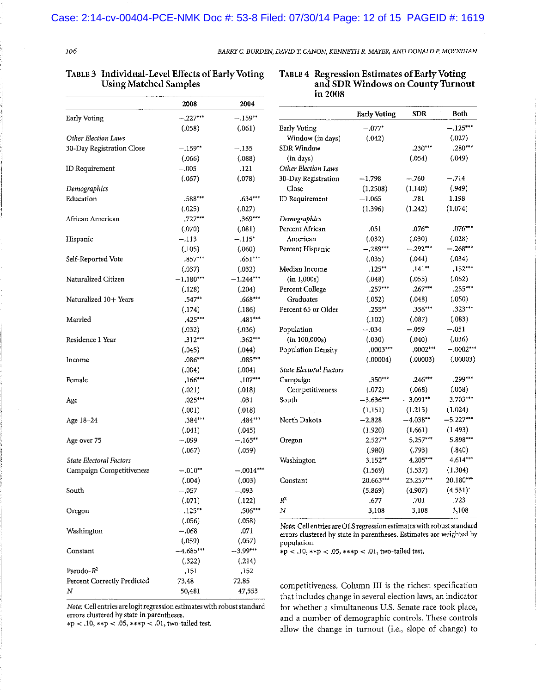#### *106 BARRY* C, *BURDEN, DAVID T. CANON, KENNETH R. MAYER, AND DONALD P. MOYNIHAN*

### TABLE3 Individual-Level Effects of Early Voting TABLE4 Regression Estimates of Early Voting and SDR Windows on County Turnout in2008

|                                 | 2008        | 2004        |                                                                                    |                     |             |             |
|---------------------------------|-------------|-------------|------------------------------------------------------------------------------------|---------------------|-------------|-------------|
| <b>Early Voting</b>             | $-.227***$  | $-.159**$   |                                                                                    | <b>Early Voting</b> | <b>SDR</b>  | Both        |
|                                 | (.058)      | (.061)      | <b>Early Voting</b>                                                                | $-.077*$            |             | $-.125***$  |
| Other Election Laws             |             |             | Window (in days)                                                                   | (.042)              |             | (.027)      |
| 30-Day Registration Close       | $-.159**$   | $-135$      | SDR Window                                                                         |                     | $.230***$   | $.280***$   |
|                                 | (.066)      | (.088)      | (in days)                                                                          |                     | (.054)      | (.049)      |
| ID Requirement                  | $-.005$     | .121        | Other Election Laws                                                                |                     |             |             |
|                                 | (.067)      | (.078)      | 30-Day Registration                                                                | $-1.798$            | $-.760$     | $-.714$     |
| Demographics                    |             |             | Close                                                                              | (1.2508)            | (1,140)     | (.949)      |
| Education                       | .588***     | $.634***$   | ID Requirement                                                                     | $-1.065$            | .781        | 1.198       |
|                                 | (.025)      | (.027)      |                                                                                    | (1.396)             | (1.242)     | (1.074)     |
| African American                | $.727***$   | $.369***$   | Demographics                                                                       |                     |             |             |
|                                 | (.070)      | (.081)      | Percent African                                                                    | .051                | $.076***$   | $.076***$   |
| Hispanic                        | $-.113$     | $-.115*$    | American                                                                           | (.032)              | (.030)      | (.028)      |
|                                 | (.105)      | (.060)      | Percent Hispanic                                                                   | $-.289***$          | $-.292***$  | $-.268***$  |
| Self-Reported Vote              | $.857***$   | $.651***$   |                                                                                    | (.035)              | (.044)      | (.034)      |
|                                 | (.037)      | (.032)      | Median Income                                                                      | $,125**$            | $.141**$    | $.152***$   |
| Naturalized Citizen             | $-1.180***$ | $-1.244***$ | (in 1,000s)                                                                        | (.048)              | (.055)      | (.052)      |
|                                 | (.128)      | (.204)      | Percent College                                                                    | $.257***$           | $,267***$   | .255***     |
| Naturalized 10+ Years           | $.547**$    | $.668***$   | Graduates                                                                          | (.052)              | (.048)      | (.050)      |
|                                 | (.174)      | (.186)      | Percent 65 or Older                                                                | .255**              | $.356***$   | $.323***$   |
| Married                         | $.425***$   | $.481***$   |                                                                                    | (.102)              | (.087)      | (.083)      |
|                                 | (.032)      | (.036)      | Population                                                                         | $-.034$             | $-.059$     | $-.051$     |
| Residence 1 Year                | $.312***$   | $.362***$   | (in 100,000s)                                                                      | (.030)              | (.040)      | (.036)      |
|                                 | (.045)      | (.044)      | Population Density                                                                 | $-0003***$          | $-.0002***$ | $-.0002***$ |
| Income                          | $.086***$   | .085***     |                                                                                    | (.00004)            | (.00003)    | (.00003)    |
|                                 | (.004)      | (.004)      | <b>State Electoral Factors</b>                                                     |                     |             |             |
| Female                          | $.166***$   | $.107***$   | Campaign                                                                           | $,350***$           | $,246***$   | .299***     |
|                                 | (.021)      | (.018)      | Competitiveness                                                                    | (.072)              | (.068)      | (.058)      |
| Age                             | $.025***$   | .031        | South                                                                              | $-3.636***$         | $-3.091**$  | $-3,703***$ |
|                                 | (.001)      | (.018)      |                                                                                    | (1.151)             | (1.215)     | (1,024)     |
| Age 18-24                       | .384***     | .484***     | North Dakota                                                                       | $-2,828$            | $-4,038**$  | $-5.227***$ |
|                                 | (.041)      | (.045)      |                                                                                    | (1.920)             | (1,661)     | (1.493)     |
| Age over 75                     | $-.099$     | $-.165**$   | Oregon                                                                             | 2,527**             | 5,257***    | 5,898***    |
|                                 | (.067)      | (.059)      |                                                                                    | (.980)              | (.793)      | (.840)      |
| <b>State Electoral Factors</b>  |             |             | Washington                                                                         | 3.152**             | 4.205***    | 4.614***    |
| <b>Campaign Competitiveness</b> | $-.010**$   | $-.0014***$ |                                                                                    | (1.569)             | (1.537)     | (1.304)     |
|                                 | (.004)      | (.003)      | Constant                                                                           | 20.663***           | 23.257***   | 20.180***   |
| South                           | $-.057$     | $-.093$     |                                                                                    | (5.869)             | (4.907)     | (4.531)     |
|                                 | (.071)      | (.122)      | $R^2$                                                                              | .677                | .701        | .723        |
| Oregon                          | $-.125**$   | $.506***$   | Ν                                                                                  | 3,108               | 3,108       | 3,108       |
|                                 | (.056)      | (.058)      |                                                                                    |                     |             |             |
| Washington                      | $-.068$     | .071        | Note: Cell entries are OLS regression estimates with robust standard               |                     |             |             |
|                                 | (.059)      | (.057)      | errors clustered by state in parentheses. Estimates are weighted by<br>population. |                     |             |             |
| Constant                        | $-4,685***$ | $-3.99***$  | $*p < .10, **p < .05, ***p < .01,$ two-tailed test.                                |                     |             |             |
|                                 | (.322)      | (.214)      |                                                                                    |                     |             |             |
| Pseudo- $R^2$                   | .151        | .152        |                                                                                    |                     |             |             |

Percent Correctly Predicted 73.48 72.85 competitiveness. Column III is the richest specification 50,481 47,553 that includes change in several election laws, an indicator *Note:* Cell entries are logit regression estimates with robust standard for whether a simultaneous U.S. Senate race took place, errors clustered by state in parentheses. errors clustered by state in parentheses.<br>  $\angle p$  < .10,  $\angle p$  < .10,  $\angle p$  < .10,  $\angle p$  < .10,  $\angle p$  < .10,  $\angle p$  < .10,  $\angle p$  < .10,  $\angle p$  < .10,  $\angle p$  < .10,  $\angle p$  = .10,  $\angle p$ allow the change in turnout (i.e., slope of change) to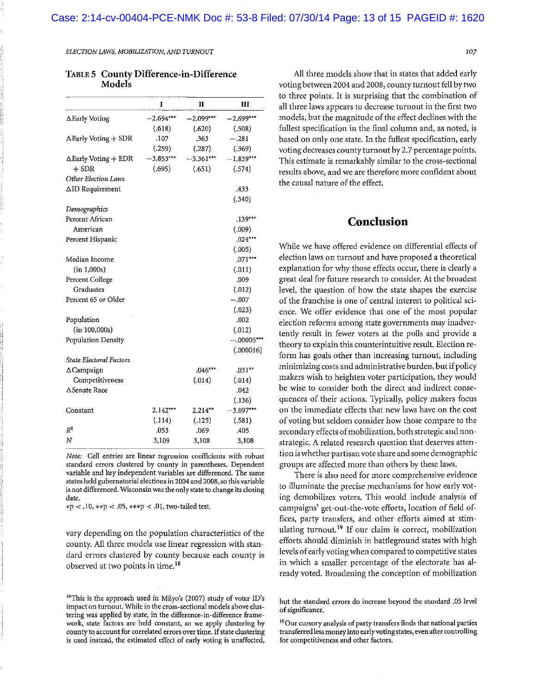|                                | I           | п           | ш            |
|--------------------------------|-------------|-------------|--------------|
| ∆Early Voting                  | $2,694***$  | 2,099***    | $-2,699***$  |
|                                | (.618)      | (.620)      | (.508)       |
| $\Delta$ Early Voting + SDR    | .107        | .363        | $-.281$      |
|                                | (.259)      | (.287)      | (.369)       |
| $\Delta$ Early Voting + EDR    | $-3.853***$ | $-3.361***$ | $-1.839***$  |
| $+$ SDR                        | (.695)      | (.651)      | (.574)       |
| Other Election Laws            |             |             |              |
| ∆ID Requirement                |             |             | .433         |
|                                |             |             | (.340)       |
| Demographics                   |             |             |              |
| Percent African                |             |             | $.139***$    |
| American                       |             |             | (.009)       |
| Percent Hispanic               |             |             | $.024***$    |
|                                |             |             | (.005)       |
| Median Income                  |             |             | $.071***$    |
| (in 1,000s)                    |             |             | (.011)       |
| Percent College                |             |             | .009         |
| Graduates                      |             |             | (.012)       |
| Percent 65 or Older            |             |             | $-.007$      |
|                                |             |             | (.023)       |
| Population                     |             |             | .002         |
| (in 100,000s)                  |             |             | (.012)       |
| Population Density             |             |             | $-.00005***$ |
|                                |             |             | (.000016)    |
| <b>State Electoral Factors</b> |             |             |              |
| ∆Campaign                      |             | $.046***$   | $.031**$     |
| Competitiveness                |             | (.014)      | (.014)       |
| $\triangle$ Senate Race        |             |             | .042         |
|                                |             |             | (.136)       |
| Constant                       | $2.142***$  | $2.214**$   | $-3,097***$  |
|                                | (.114)      | (.125)      | (.581)       |
| $R^2$                          | .053        | .069        | ,405         |
| N                              | 3,109       | 3,108       | 3,108        |

### TABLE 5 County Difference-in-Difference Models

*Note:* Cell entries are linear regression coefficients with robust standard errors clustered by county in parentheses. Dependent variable and key independent variables are differenced. The same states held gubernatorial elections in 2004 and 2008, so this variable is not differenced. Wisconsin was the only state to change its closing date.

\*P < .10, \*\*P <.OS, \*\*\*P < .01, two-tailed test.

;-·i

vary depending on the population characteristics of the county. All three models use linear regression with standard errors clustered by county because each county is observed at two points in time. <sup>18</sup>

18This is the approach used in Milyo's (2007) study of voter ID's impact on turnout. While in the cross-sectional models above clustering was applied by state, in the difference-in-difference framework, state factors are held constant, so we apply clustering by county to account for correlated errors over time. If state clustering is used instead, the estimated effect of early voting is unaffected,

All three models show that in states that added early voting between 2004 and 2008, county turnout fell by two to three points. It is surprising that the combination of all three laws appears to decrease turnout in the first two models, but the magnitude of the effect declines with the fullest specification in the final column and, as noted, is based on only one state. In the fullest specification, early voting decreases county turnout by 2.7 percentage points. This estimate is remarkably similar to the cross-sectional results above, and we are therefore more confident about the causal nature of the effect.

*lOJ* 

# Conclusion

While we have offered evidence on differential effects of election laws on turnout and have proposed a theoretical explanation for why those effects occur, there is clearly a great deal for future research to consider. At the broadest level, the question of how the state shapes the exercise of the franchise is one of central interest to political science. We offer evidence that one of the most popular election reforms among state governments may inadvertently result in fewer voters at the polls and provide a theory to explain this counterintuitive result. Election reform has goals other than increasing turnout, including minimizing costs and administrative burden, but if policy makers wish to heighten voter participation, they would be wise to consider both the direct and indirect consequences of their actions. Typically, policy makers focus on the immediate effects that new laws have on the cost of voting but seldom consider how those compare to the secondary effects of mobilization, both strategic and nonstrategic. A related research question that deserves attention is whether partisan vote share and some demographic groups are affected more than others by these laws.

There is also need for more comprehensive evidence to illuminate the precise mechanisms for how early voting demobilizes voters. This would include analysis of campaigns' get-out-the-vote efforts, location of field offices, party transfers, and other efforts aimed at stimulating turnout.<sup>19</sup> If our claim is correct, mobilization efforts should diminish in battleground states with high levels of early voting when compared to competitive states in which a smaller percentage of the electorate has already voted. Broadening the conception of mobilization

but the standard errors do increase beyond the standard .OS level of significance.

<sup>&</sup>lt;sup>19</sup>Our cursory analysis of party transfers finds that national parties transferred less money into early voting states, even after controlling for competitiveness and other factors.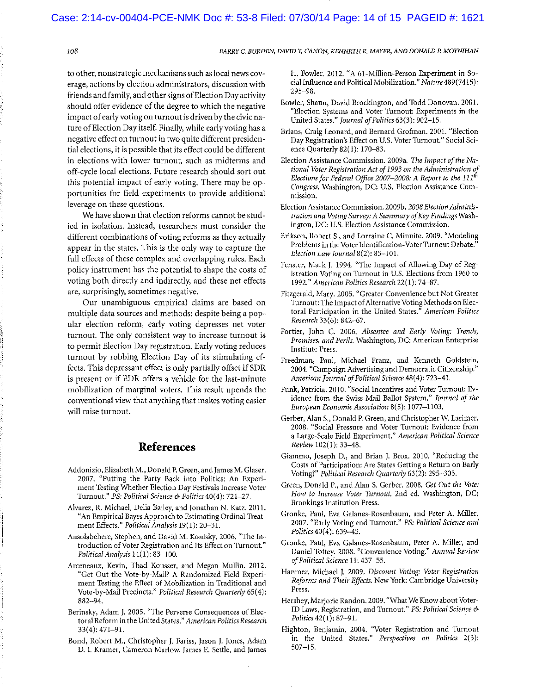to other, nonstrategic mechanisms such as local news coverage, actions by election administrators, discussion with friends and family, and other signs of Election Day activity should offer evidence of the degree to which the negative impact of early voting on turnout is driven by the civic nature of Election Day itself. Finally, while early voting has a negative effect on turnout in two quite different presidential elections, it is possible that its effect could be different in elections with lower turnout, such as midterms and off·cycle local elections. Future research should sort out this potential impact of early voting. There may be op· portunities for field experiments to provide additional leverage on these questions.

We have shown that election reforms cannot be studied in isolation. Instead, researchers must consider the different combinations of voting reforms as they actually appear in the states. This is the only way to capture the full effects of these complex and overlapping rules. Each policy instrument has the potential to shape the costs of voting both directly and indirectly, and these net effects are, surprisingly, sometimes negative.

Our unambiguous empirical claims are based on multiple data sources and methods: despite being a pop· ular election reform, early voting depresses net voter turnout. The only consistent way to increase turnout is to permit Election Day registration. Early voting reduces turnout by robbing Election Day of its stimulating ef· fects. This depressant effect is only partially offset if SDR is present or if EDR offers a vehicle for the last-minute mobilization of marginal voters. This result upends the conventional view that anything that makes voting easier will raise turnout.

# References

- Addonizio, Elizabeth M., Donald P. Green, and James M. Glaser. 2007. "Putting the Party Back into Politics: An Experiment Testing Whether Election Day Festivals Increase Voter Turnout." *PS: Political Science* & *Politics* 40( 4): 721-27,
- Alvarez, R. Michael, Delia Bailey, and Jonathan N. Katz. 2011. "An Empirical Bayes Approach to Estimating Ordinal Treatment Effects." *Political Analysis* 19(1): 20-31.
- Ansolabehere, Stephen, and David M. Konisky. 2006. "The Introduction of Voter Registration and Its Effect on Turnout." *Political Analysis* 14(1): 83-100.
- Arceneaux, Kevin, Thad Kousser, and Megan Mullin. 2012. "Get Out the Vote-by-Mail? A Randomized Field Experiment Testing the Effect of Mobilization in Traditional and Vote-by-Mail Precincts." *Political Research Quarterly* 65( 4): 882-94.
- Berinsky, Adam J, 2005. "The Perverse Consequences of Electoral Reform in the United States." *American Politics Research*  33(4): 471-91.
- Bond, Robert M., Christopher J. Fariss, Jason *].* Jones, Adam D. I. Kramer, Cameron Marlow, James E. Settle, and James

H. Fowler. 2012. "A 61-Million-Person Experiment in Social Influence and Political Mobilization." *Nature489(7415):*  295-98.

- Bowler, Shaun, David Brockington, and Todd Donovan. 2001. "Election Systems and Voter Turnout: Experiments in the United States." *Journal of Politics* 63(3): 902-15.
- Brians, Craig Leonard, and Bernard Grofman. 2001. "Election Day Registration's Effect on U.S. Voter Turnout." Social Science Quarterly 82( 1): 170-83.
- Election Assistance Commission. 2009a. *The Impact of the National Voter Registration Act of 1993 on the Administration o[ Elections for Federal Office 2007-2008: A Report to the 111<sup>th</sup> Congress.* Washington, DC: U.S. Election Assistance Commission.
- Election Assistance Commission. 2009b. *2008 Election Administration and Voting Survey: A Summary of Key Findings* Washington, DC: U.S. Election Assistance Commission.
- Erikson, Robert S., and Lorraine C. Minnite. 2009. "Modeling Problems in the Voter Identification-Voter Turnout Debate.' *Election Law Journal8(2):* 85-101.
- Fenster, Mark J, 1994. "The Impact of Allowing Day of Registration Voting on Turnout in U.S. Elections from 1960 to 1992." *American Politics Research* 22(1): 74-87.
- Fitzgerald, Mary. 2005. "Greater Convenience but Not Greater Turnout: The Impact of Alternative Voting Methods on Electoral Participation in the United States." *American Politics Research* 33(6): 842-67.
- Fortier, John C. 2006. *Absentee and Early Voting; Trends, Promises, and Perils.* Washington, DC: American Enterprise Institute Press.
- Freedman, Paul, Michael Franz, and Kenneth Goldstein. 2004. "Campaign Advertising and Democratic Citizenship." *American Journal of Political Science* 48(4): 723-41.
- Funk, Patricia. 2010. "Social Incentives and Voter Turnout: Evidence from the Swiss Mail Ballot System." *Journal of the European Economic Association* 8(5): 1077~1103.
- Gerber, Alan S,, Donald P. Green, and Christopher W. Larimer. 2008. "Social Pressure and Voter Turnout: Evidence from a Large-Scale Field Experiment." *American Political Science Review* 102( 1 ): 33-48.
- Giammo, Joseph D., and Brian J, Brox. 2010. "Reducing the Costs of Participation: Are States Getting a Return on Early Voting?" *Political Research Quarterly* 63(2): 295-303.
- Green, Donald P., and Alan S. Gerber. 2008. *Get Out the Vote: How to Increase Voter Turnout.* 2nd ed. Washington, DC: Brookings Institution Press.
- Gronke, Paul, Eva Galanes-Rosenbaum, and Peter A. Miller. 2007. "Early Voting and Turnout." *PS: Political Science and Politics* 40( 4): 639-45.
- Gronke, Paul, Eva Galanes-Rosenbaum, Peter A. Miller, and Daniel Toffey. 2008. "Convenience Voting." *Annual Review of Political Science* 11: 437-55.
- Hanmer, Michael J, 2009. *Discount Voting: Voter Registration Reforms and Their Effects.* New York: Cambridge University Press.
- Hershey, Marjorie Randon. 2009. "What We Know about Voter-ID Laws, Registration, and Turnout." *PS: Political Science* & *Politics* 42( 1): 87-91.
- Highton, Benjamin. 2004. "Voter Registration and Turnout in the United States." *Perspectives on Politics* 2(3): 507-15.